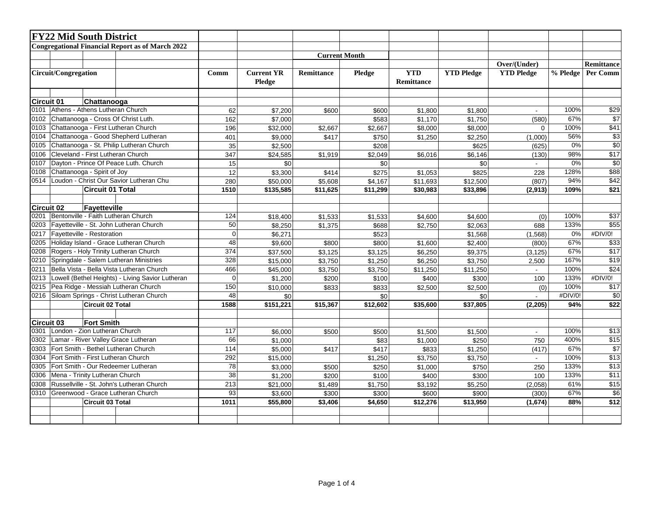|                                                          | <b>FY22 Mid South District</b>            |                                 |                                                         |                 |                             |            |                      |                                 |                   |                   |            |                  |
|----------------------------------------------------------|-------------------------------------------|---------------------------------|---------------------------------------------------------|-----------------|-----------------------------|------------|----------------------|---------------------------------|-------------------|-------------------|------------|------------------|
|                                                          |                                           |                                 | <b>Congregational Financial Report as of March 2022</b> |                 |                             |            |                      |                                 |                   |                   |            |                  |
|                                                          |                                           |                                 |                                                         |                 |                             |            | <b>Current Month</b> |                                 |                   |                   |            |                  |
|                                                          |                                           |                                 |                                                         |                 |                             |            |                      |                                 | Over/(Under)      |                   | Remittance |                  |
|                                                          | Circuit/Congregation                      |                                 |                                                         | Comm            | <b>Current YR</b><br>Pledge | Remittance | Pledge               | <b>YTD</b><br><b>Remittance</b> | <b>YTD Pledge</b> | <b>YTD Pledge</b> | % Pledge   | Per Comm         |
| <b>Circuit 01</b>                                        |                                           | Chattanooga                     |                                                         |                 |                             |            |                      |                                 |                   |                   |            |                  |
| 0101                                                     |                                           | Athens - Athens Lutheran Church |                                                         | 62              | \$7,200                     | \$600      | \$600                | \$1,800                         | \$1,800           | ÷.                | 100%       | $\sqrt{$29}$     |
| 0102                                                     |                                           |                                 | Chattanooga - Cross Of Christ Luth.                     | 162             | \$7,000                     |            | \$583                | \$1,170                         | \$1,750           | (580)             | 67%        | $\overline{$7}$  |
| 0103                                                     |                                           |                                 | Chattanooga - First Lutheran Church                     | 196             | \$32,000                    | \$2,667    | \$2,667              | \$8,000                         | \$8,000           | $\Omega$          | 100%       | $\overline{$41}$ |
| 0104                                                     |                                           |                                 | Chattanooga - Good Shepherd Lutheran                    | 401             | \$9,000                     | \$417      | \$750                | \$1,250                         | \$2,250           | (1,000)           | 56%        | $\overline{\$3}$ |
| 0105                                                     |                                           |                                 | Chattanooga - St. Philip Lutheran Church                | $\overline{35}$ | \$2,500                     |            | \$208                |                                 | \$625             | (625)             | 0%         | $\overline{50}$  |
| 0106                                                     |                                           |                                 | Cleveland - First Lutheran Church                       | 347             | \$24,585                    | \$1,919    | \$2,049              | \$6,016                         | \$6,146           | (130)             | 98%        | \$17             |
| 0107                                                     |                                           |                                 | Dayton - Prince Of Peace Luth. Church                   | 15              | \$0                         |            | \$0                  |                                 | \$0               |                   | 0%         | $\overline{30}$  |
| 0108                                                     |                                           | Chattanooga - Spirit of Joy     |                                                         | 12              | \$3,300                     | \$414      | \$275                | \$1,053                         | \$825             | 228               | 128%       | \$88             |
| 0514                                                     |                                           |                                 | Loudon - Christ Our Savior Lutheran Chu                 | 280             | \$50,000                    | \$5,608    | \$4,167              | \$11,693                        | \$12,500          | (807)             | 94%        | $\overline{$42}$ |
|                                                          |                                           | <b>Circuit 01 Total</b>         |                                                         | 1510            | \$135,585                   | \$11,625   | \$11,299             | \$30,983                        | \$33,896          | (2,913)           | 109%       | \$21             |
|                                                          |                                           |                                 |                                                         |                 |                             |            |                      |                                 |                   |                   |            |                  |
| <b>Circuit 02</b>                                        |                                           | Fayetteville                    |                                                         |                 |                             |            |                      |                                 |                   |                   |            |                  |
| 0201                                                     |                                           |                                 | Bentonville - Faith Lutheran Church                     | 124             | \$18,400                    | \$1,533    | \$1,533              | \$4,600                         | \$4,600           | (0)               | 100%       | $\overline{$37}$ |
| 0203                                                     |                                           |                                 | Fayetteville - St. John Lutheran Church                 | 50              | \$8,250                     | \$1,375    | \$688                | \$2,750                         | \$2,063           | 688               | 133%       | \$55             |
| 0217                                                     | Fayetteville - Restoration                |                                 |                                                         | $\Omega$        | \$6,271                     |            | \$523                |                                 | \$1,568           | (1,568)           | 0%         | #DIV/0!          |
| 0205                                                     |                                           |                                 | Holiday Island - Grace Lutheran Church                  | 48              | \$9,600                     | \$800      | \$800                | \$1,600                         | \$2,400           | (800)             | 67%        | \$33             |
| 0208                                                     |                                           |                                 | Rogers - Holy Trinity Lutheran Church                   | 374             | \$37,500                    | \$3,125    | \$3,125              | \$6,250                         | \$9,375           | (3, 125)          | 67%        | \$17             |
| 0210                                                     |                                           |                                 | Springdale - Salem Lutheran Ministries                  | 328             | \$15,000                    | \$3,750    | \$1,250              | \$6,250                         | \$3,750           | 2,500             | 167%       | $\overline{$19}$ |
| 0211                                                     |                                           |                                 | Bella Vista - Bella Vista Lutheran Church               | 466             | \$45,000                    | \$3,750    | \$3,750              | \$11,250                        | \$11,250          |                   | 100%       | \$24             |
| Lowell (Bethel Heights) - Living Savior Lutheran<br>0213 |                                           |                                 |                                                         | $\mathbf 0$     | \$1,200                     | \$200      | \$100                | \$400                           | \$300             | 100               | 133%       | #DIV/0!          |
| 0215                                                     |                                           |                                 | Pea Ridge - Messiah Lutheran Church                     | 150             | \$10,000                    | \$833      | \$833                | \$2,500                         | \$2,500           | (0)               | 100%       | $\overline{$17}$ |
| 0216                                                     |                                           |                                 | Siloam Springs - Christ Lutheran Church                 | 48              | \$0                         |            | \$0                  |                                 | \$0               |                   | #DIV/0!    | \$0              |
|                                                          |                                           | Circuit 02 Total                |                                                         | 1588            | $\overline{$151,221}$       | \$15,367   | $\sqrt{$12,602}$     | \$35,600                        | \$37,805          | (2,205)           | 94%        | \$22             |
| <b>Circuit 03</b>                                        |                                           | <b>Fort Smith</b>               |                                                         |                 |                             |            |                      |                                 |                   |                   |            |                  |
| 0301                                                     | London - Zion Lutheran Church             |                                 |                                                         | 117             | \$6,000                     | \$500      | \$500                | \$1,500                         | \$1,500           | $\sim$            | 100%       | $\overline{$13}$ |
| 0302                                                     |                                           |                                 | Lamar - River Valley Grace Lutheran                     | 66              | \$1,000                     |            | \$83                 | \$1,000                         | \$250             | 750               | 400%       | \$15             |
| 0303                                                     | Fort Smith - Bethel Lutheran Church       |                                 |                                                         | 114             | \$5,000                     | \$417      | \$417                | \$833                           | \$1,250           | (417)             | 67%        | $\overline{$7}$  |
| 0304                                                     | Fort Smith - First Lutheran Church        |                                 |                                                         | 292             | \$15,000                    |            | \$1,250              | \$3,750                         | \$3,750           | $\sim$            | 100%       | \$13             |
| 0305                                                     | Fort Smith - Our Redeemer Lutheran        |                                 |                                                         | $\overline{78}$ | \$3,000                     | \$500      | \$250                | \$1,000                         | \$750             | 250               | 133%       | $\overline{$13}$ |
| 0306                                                     | Mena - Trinity Lutheran Church            |                                 |                                                         | 38              | \$1,200                     | \$200      | \$100                | \$400                           | \$300             | 100               | 133%       | \$11             |
| 0308                                                     | Russellville - St. John's Lutheran Church |                                 |                                                         | 213             | \$21,000                    | \$1,489    | \$1,750              | \$3,192                         | \$5,250           | (2,058)           | 61%        | $\overline{$15}$ |
| 0310                                                     | Greenwood - Grace Lutheran Church         |                                 |                                                         | 93              | \$3,600                     | \$300      | \$300                | \$600                           | \$900             | (300)             | 67%        | $\overline{$6}$  |
|                                                          |                                           | Circuit 03 Total                |                                                         | 1011            | \$55,800                    | \$3,406    | \$4,650              | \$12,276                        | \$13,950          | (1,674)           | 88%        | \$12             |
|                                                          |                                           |                                 |                                                         |                 |                             |            |                      |                                 |                   |                   |            |                  |
|                                                          |                                           |                                 |                                                         |                 |                             |            |                      |                                 |                   |                   |            |                  |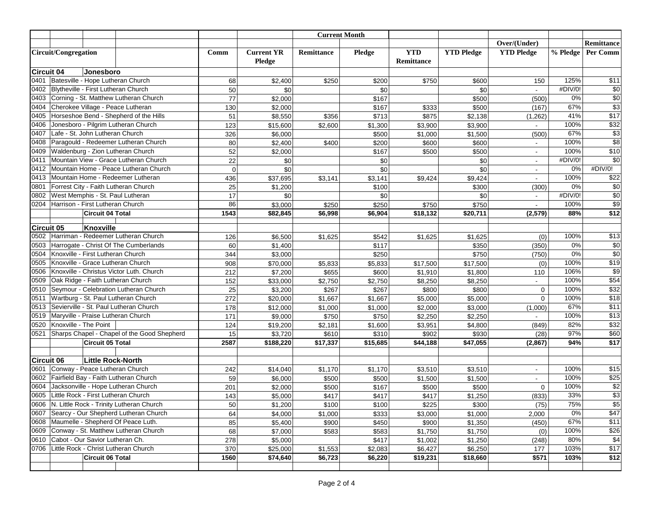|                    |                                                                                             |                         |                                             |                 |                   |                      | <b>Current Month</b> |                |                   |                          |                     |                     |
|--------------------|---------------------------------------------------------------------------------------------|-------------------------|---------------------------------------------|-----------------|-------------------|----------------------|----------------------|----------------|-------------------|--------------------------|---------------------|---------------------|
|                    |                                                                                             |                         |                                             |                 |                   |                      |                      |                |                   | Over/(Under)             |                     | Remittance          |
|                    | <b>Circuit/Congregation</b>                                                                 |                         |                                             | Comm            | <b>Current YR</b> | <b>Remittance</b>    | Pledge               | <b>YTD</b>     | <b>YTD Pledge</b> | <b>YTD Pledge</b>        | % Pledge            | <b>Per Comm</b>     |
|                    |                                                                                             |                         |                                             |                 | Pledge            |                      |                      | Remittance     |                   |                          |                     |                     |
| Circuit 04         |                                                                                             | Jonesboro               |                                             |                 |                   |                      |                      |                |                   |                          |                     |                     |
| 0401               | Batesville - Hope Lutheran Church                                                           |                         |                                             | 68              | \$2,400           | \$250                | \$200                | \$750          | \$600             | 150                      | 125%                | \$11                |
| 0402               | Blytheville - First Lutheran Church                                                         |                         |                                             | 50              | \$0               |                      | \$0                  |                | \$0               | $\overline{\phantom{a}}$ | #DIV/0!             | $\sqrt{6}$          |
| 0403               |                                                                                             |                         | Corning - St. Matthew Lutheran Church       | $\overline{77}$ | \$2,000           |                      | \$167                |                | \$500             | (500)                    | 0%                  | $\overline{30}$     |
| 0404               |                                                                                             |                         | Cherokee Village - Peace Lutheran           | 130             | \$2,000           |                      | \$167                | \$333          | \$500             | (167)                    | 67%                 | $\overline{$3}$     |
| 0405               |                                                                                             |                         | Horseshoe Bend - Shepherd of the Hills      | 51              | \$8,550           | \$356                | \$713                | \$875          | \$2,138           | (1,262)                  | 41%                 | $\overline{$17}$    |
| 0406               |                                                                                             |                         | Jonesboro - Pilgrim Lutheran Church         | 123             | \$15,600          | \$2,600              | \$1,300              | \$3,900        | \$3,900           |                          | 100%                | \$32                |
| 0407               | Lafe - St. John Lutheran Church                                                             |                         |                                             | 326             | \$6,000           |                      | \$500                | \$1,000        | \$1,500           | (500)                    | 67%                 | $\overline{$3}$     |
| 0408               |                                                                                             |                         | Paragould - Redeemer Lutheran Church        | 80              | \$2,400           | \$400                | \$200                | \$600          | \$600             |                          | 100%                | $\overline{$8}$     |
| 0409               |                                                                                             |                         | Waldenburg - Zion Lutheran Church           | 52              | \$2,000           |                      | \$167                | \$500          | \$500             | $\sim$                   | 100%                | $\overline{$10}$    |
| 0411               |                                                                                             |                         | Mountain View - Grace Lutheran Church       | 22              | \$0               |                      | \$0                  |                | \$0               | $\overline{\phantom{a}}$ | #DIV/0!             | $\overline{50}$     |
| 0412               |                                                                                             |                         | Mountain Home - Peace Lutheran Church       | 0               | \$0               |                      | \$0                  |                | \$0               | $\sim$                   | 0%                  | #DIV/0!             |
| 0413               |                                                                                             |                         | Mountain Home - Redeemer Lutheran           | 436             | \$37,695          | \$3,141              | \$3,141              | \$9,424        | \$9,424           |                          | 100%                | \$22                |
| 0801               |                                                                                             |                         | Forrest City - Faith Lutheran Church        | 25              | \$1,200           |                      | \$100                |                | \$300             | (300)                    | 0%                  | $\overline{30}$     |
| 0802               |                                                                                             |                         | West Memphis - St. Paul Lutheran            | 17              | \$0               |                      | \$0                  |                | \$0               | $\blacksquare$           | #DIV/0!             | $\overline{30}$     |
| 0204               | Harrison - First Lutheran Church                                                            |                         |                                             | 86              | \$3,000           | \$250                | \$250                | \$750          | \$750             |                          | 100%                | $\overline{\$9}$    |
|                    |                                                                                             | <b>Circuit 04 Total</b> |                                             | 1543            | \$82,845          | \$6,998              | \$6,904              | \$18,132       | \$20,711          | (2, 579)                 | 88%                 | \$12                |
|                    |                                                                                             |                         |                                             |                 |                   |                      |                      |                |                   |                          |                     |                     |
| Circuit 05         |                                                                                             | Knoxville               |                                             |                 |                   |                      |                      |                |                   |                          |                     |                     |
| 0502               |                                                                                             |                         | Harriman - Redeemer Lutheran Church         | 126             | \$6,500           | \$1,625              | \$542                | \$1,625        | \$1,625           | (0)                      | 100%                | $\overline{$13}$    |
| 0503               |                                                                                             |                         | Harrogate - Christ Of The Cumberlands       | 60              | \$1,400           |                      | \$117                |                | \$350             | (350)                    | 0%                  | $\overline{30}$     |
| 0504               | Knoxville - First Lutheran Church                                                           |                         |                                             | 344             | \$3,000           |                      | \$250                |                | \$750             | (750)                    | 0%                  | $\overline{50}$     |
| 0505               |                                                                                             |                         | Knoxville - Grace Lutheran Church           | 908             | \$70,000          | \$5,833              | \$5,833              | \$17,500       | \$17,500          | (0)                      | 100%                | \$19                |
| 0506               |                                                                                             |                         | Knoxville - Christus Victor Luth. Church    | 212             | \$7,200           | \$655                | \$600                | \$1,910        | \$1,800           | 110                      | 106%                | $\overline{$9}$     |
| 0509               |                                                                                             |                         | Oak Ridge - Faith Lutheran Church           | 152             | \$33,000          | \$2,750              | \$2,750              | \$8,250        | \$8,250           | $\sim$                   | 100%                | \$54                |
| 0510               |                                                                                             |                         | Seymour - Celebration Lutheran Church       | 25              | \$3,200           | \$267                | \$267                | \$800          | \$800             | $\mathbf 0$              | 100%                | \$32                |
| 0511               |                                                                                             |                         | Wartburg - St. Paul Lutheran Church         | 272             | \$20,000          | \$1,667              | \$1,667              | \$5,000        | \$5,000           | $\mathbf 0$              | 100%                | \$18                |
| 0513               |                                                                                             |                         | Sevierville - St. Paul Lutheran Church      | 178             | \$12,000          | \$1,000              | \$1,000              | \$2,000        | \$3,000           | (1,000)                  | 67%                 | \$11                |
| 0519               |                                                                                             |                         | Maryville - Praise Lutheran Church          | 171             | \$9,000           | \$750                | \$750                | \$2,250        | \$2,250           |                          | 100%                | $\overline{$13}$    |
| 0520               | Knoxville - The Point                                                                       |                         |                                             | 124             | \$19,200          | \$2,181              | \$1,600              | \$3,951        | \$4,800           | (849)                    | 82%                 | \$32                |
| 0521               |                                                                                             |                         | Sharps Chapel - Chapel of the Good Shepherd | 15              | \$3,720           | \$610                | \$310                | \$902          | \$930             | (28)                     | 97%                 | \$60                |
|                    |                                                                                             | Circuit 05 Total        |                                             | 2587            | \$188,220         | $\overline{$17,337}$ | \$15,685             | \$44,188       | \$47,055          | (2, 867)                 | 94%                 | \$17                |
|                    |                                                                                             |                         |                                             |                 |                   |                      |                      |                |                   |                          |                     |                     |
| Circuit 06<br>0601 |                                                                                             | Little Rock-North       | Conway - Peace Lutheran Church              |                 |                   |                      |                      |                |                   |                          | 100%                | \$15                |
|                    |                                                                                             |                         | Fairfield Bay - Faith Lutheran Church       | 242             | \$14,040          | \$1,170              | \$1,170              | \$3,510        | \$3,510           | $\blacksquare$           | 100%                | \$25                |
| 0602               |                                                                                             |                         | Jacksonville - Hope Lutheran Church         | 59              | \$6,000           | \$500                | \$500                | \$1,500        | \$1,500           | $\blacksquare$           |                     | $\overline{$}$      |
| 0604<br>0605       |                                                                                             |                         |                                             | 201             | \$2,000           | \$500<br>\$417       | \$167<br>\$417       | \$500<br>\$417 | \$500             | $\mathbf 0$              | 100%<br>33%         | \$3                 |
|                    | Little Rock - First Lutheran Church                                                         |                         | 143                                         | \$5,000         |                   |                      |                      | \$1,250        | (833)             |                          |                     |                     |
|                    | 0606 N. Little Rock - Trinity Lutheran Church<br>0607 Searcy - Our Shepherd Lutheran Church |                         | 50<br>64                                    | \$1,200         | \$100             | \$100                | \$225                | \$300          | (75)              | 75%<br>0%                | \$5<br>$\sqrt{$47}$ |                     |
|                    | 0608 Maumelle - Shepherd Of Peace Luth.                                                     |                         |                                             |                 | \$4,000           | \$1,000              | \$333                | \$3,000        | \$1,000           | 2,000                    | 67%                 | \$11                |
|                    | 0609 Conway - St. Matthew Lutheran Church                                                   |                         |                                             | 85              | \$5,400           | \$900                | \$450                | \$900          | \$1,350           | (450)                    | 100%                | \$26                |
|                    |                                                                                             |                         |                                             | 68              | \$7,000           | \$583                | \$583                | \$1,750        | \$1,750           | (0)                      | 80%                 |                     |
| 0610               | Cabot - Our Savior Lutheran Ch.<br>0706 Little Rock - Christ Lutheran Church                |                         |                                             | 278             | \$5,000           |                      | \$417                | \$1,002        | \$1,250           | (248)                    | 103%                | \$4<br>$\sqrt{$17}$ |
|                    |                                                                                             | Circuit 06 Total        |                                             | 370             | \$25,000          | \$1,553              | \$2,083              | \$6,427        | \$6,250           | 177                      |                     |                     |
|                    |                                                                                             |                         |                                             | 1560            | \$74,640          | \$6,723              | \$6,220              | \$19,231       | \$18,660          | \$571                    | 103%                | \$12                |
|                    |                                                                                             |                         |                                             |                 |                   |                      |                      |                |                   |                          |                     |                     |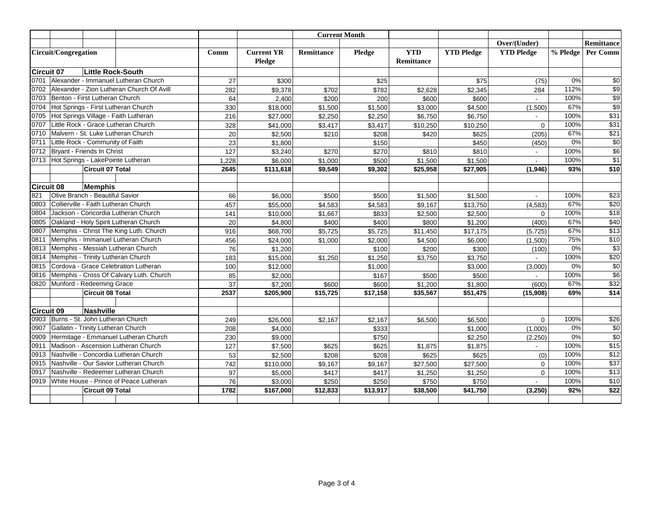|                      |                                        |                                  |                                           |                             |                   |          | <b>Current Month</b>     |                   |                   |                |                 |                  |
|----------------------|----------------------------------------|----------------------------------|-------------------------------------------|-----------------------------|-------------------|----------|--------------------------|-------------------|-------------------|----------------|-----------------|------------------|
|                      |                                        |                                  |                                           |                             |                   |          |                          |                   |                   | Over/(Under)   |                 | Remittance       |
| Circuit/Congregation |                                        |                                  | Comm                                      | <b>Current YR</b><br>Pledge | <b>Remittance</b> | Pledge   | <b>YTD</b><br>Remittance | <b>YTD Pledge</b> | <b>YTD Pledge</b> | % Pledge       | <b>Per Comm</b> |                  |
| Circuit 07           |                                        | <b>Little Rock-South</b>         |                                           |                             |                   |          |                          |                   |                   |                |                 |                  |
| 0701                 |                                        |                                  | Alexander - Immanuel Lutheran Church      | 27                          | \$300             |          | \$25                     |                   | \$75              | (75)           | 0%              | \$0              |
| 0702                 |                                        |                                  | Alexander - Zion Lutheran Church Of Avill | 282                         | \$9.378           | \$702    | \$782                    | \$2,628           | \$2,345           | 284            | 112%            | \$9              |
| 0703                 |                                        | Benton - First Lutheran Church   |                                           | 64                          | 2,400             | \$200    | 200                      | \$600             | \$600             |                | 100%            | $\overline{$9}$  |
| 0704                 |                                        |                                  | Hot Springs - First Lutheran Church       | 330                         | \$18,000          | \$1,500  | \$1,500                  | \$3,000           | \$4,500           | (1,500)        | 67%             | $\overline{\$9}$ |
| 0705                 |                                        |                                  | Hot Springs Village - Faith Lutheran      | 216                         | \$27,000          | \$2,250  | \$2,250                  | \$6,750           | \$6,750           |                | 100%            | \$31             |
| 0707                 |                                        |                                  | Little Rock - Grace Lutheran Church       | 328                         | \$41,000          | \$3,417  | \$3,417                  | \$10,250          | \$10,250          | $\Omega$       | 100%            | \$31             |
| 0710                 |                                        |                                  | Malvern - St. Luke Lutheran Church        | 20                          | \$2,500           | \$210    | \$208                    | \$420             | \$625             | (205)          | 67%             | $\sqrt{$21}$     |
| 0711                 |                                        | Little Rock - Community of Faith |                                           | 23                          | \$1,800           |          | \$150                    |                   | \$450             | (450)          | 0%              | $\overline{30}$  |
| 0712                 |                                        | Bryant - Friends In Christ       |                                           | 127                         | \$3,240           | \$270    | \$270                    | \$810             | \$810             | $\blacksquare$ | 100%            | $\overline{$6}$  |
| 0713                 |                                        |                                  | Hot Springs - LakePointe Lutheran         | 1,228                       | \$6,000           | \$1,000  | \$500                    | \$1,500           | \$1,500           | ÷.             | 100%            | $\overline{\$1}$ |
|                      |                                        | Circuit 07 Total                 |                                           | 2645                        | \$111,618         | \$9,549  | \$9,302                  | \$25,958          | \$27,905          | (1,946)        | 93%             | \$10             |
|                      |                                        |                                  |                                           |                             |                   |          |                          |                   |                   |                |                 |                  |
| Circuit 08           |                                        | <b>Memphis</b>                   |                                           |                             |                   |          |                          |                   |                   |                |                 |                  |
| 821                  |                                        | Olive Branch - Beautiful Savior  |                                           | 66                          | \$6,000           | \$500    | \$500                    | \$1,500           | \$1,500           | $\sim$         | 100%            | $\overline{$23}$ |
| 0803                 |                                        |                                  | Collierville - Faith Lutheran Church      | 457                         | \$55,000          | \$4,583  | \$4,583                  | \$9,167           | \$13,750          | (4,583)        | 67%             | \$20             |
| 0804                 |                                        |                                  | Jackson - Concordia Lutheran Church       | 141                         | \$10,000          | \$1,667  | \$833                    | \$2,500           | \$2,500           | $\Omega$       | 100%            | \$18             |
| 0805                 |                                        |                                  | Oakland - Holy Spirit Lutheran Church     | 20                          | \$4,800           | \$400    | \$400                    | \$800             | \$1,200           | (400)          | 67%             | \$40             |
| 0807                 |                                        |                                  | Memphis - Christ The King Luth. Church    | 916                         | \$68,700          | \$5,725  | \$5,725                  | \$11,450          | \$17,175          | (5, 725)       | 67%             | $\overline{$13}$ |
| 0811                 |                                        |                                  | Memphis - Immanuel Lutheran Church        | 456                         | \$24,000          | \$1,000  | \$2,000                  | \$4,500           | \$6,000           | (1,500)        | 75%             | \$10             |
| 0813                 |                                        |                                  | Memphis - Messiah Lutheran Church         | 76                          | \$1,200           |          | \$100                    | \$200             | \$300             | (100)          | 0%              | $\overline{$3}$  |
| 0814                 |                                        |                                  | Memphis - Trinity Lutheran Church         | 183                         | \$15,000          | \$1.250  | \$1,250                  | \$3,750           | \$3,750           | ÷.             | 100%            | \$20             |
| 0815                 |                                        |                                  | Cordova - Grace Celebration Lutheran      | 100                         | \$12,000          |          | \$1,000                  |                   | \$3,000           | (3,000)        | 0%              | $\overline{30}$  |
| 0816                 |                                        |                                  | Memphis - Cross Of Calvary Luth. Church   | 85                          | \$2,000           |          | \$167                    | \$500             | \$500             |                | 100%            | $\overline{$6}$  |
| 0820                 |                                        | Munford - Redeeming Grace        |                                           | 37                          | \$7,200           | \$600    | \$600                    | \$1,200           | \$1,800           | (600)          | 67%             | $\overline{$32}$ |
|                      |                                        | <b>Circuit 08 Total</b>          |                                           | 2537                        | \$205.900         | \$15,725 | \$17.158                 | \$35,567          | \$51,475          | (15,908)       | 69%             | \$14             |
|                      |                                        |                                  |                                           |                             |                   |          |                          |                   |                   |                |                 |                  |
| Circuit 09           |                                        | Nashville                        |                                           |                             |                   |          |                          |                   |                   |                |                 |                  |
| 0903                 |                                        |                                  | Burns - St. John Lutheran Church          | 249                         | \$26,000          | \$2,167  | \$2,167                  | \$6,500           | \$6,500           | $\Omega$       | 100%            | \$26             |
| 0907                 |                                        |                                  | Gallatin - Trinity Lutheran Church        | 208                         | \$4,000           |          | \$333                    |                   | \$1,000           | (1,000)        | 0%              | $\overline{50}$  |
| 0909                 |                                        |                                  | Hermitage - Emmanuel Lutheran Church      | 230                         | \$9,000           |          | \$750                    |                   | \$2,250           | (2,250)        | 0%              | $\overline{30}$  |
| 0911                 |                                        |                                  | Madison - Ascension Lutheran Church       | 127                         | \$7,500           | \$625    | \$625                    | \$1,875           | \$1,875           |                | 100%            | \$15             |
| 0913                 |                                        |                                  | Nashville - Concordia Lutheran Church     | 53                          | \$2,500           | \$208    | \$208                    | \$625             | \$625             | (0)            | 100%            | $\overline{$12}$ |
| 0915                 | Nashville - Our Savior Lutheran Church |                                  |                                           | 742                         | \$110,000         | \$9,167  | \$9,167                  | \$27,500          | \$27,500          | $\Omega$       | 100%            | \$37             |
| 0917                 | Nashville - Redeemer Lutheran Church   |                                  |                                           | 97                          | \$5,000           | \$417    | \$417                    | \$1,250           | \$1,250           | $\mathbf 0$    | 100%            | $\overline{$13}$ |
| 0919                 |                                        |                                  | White House - Prince of Peace Lutheran    | 76                          | \$3,000           | \$250    | \$250                    | \$750             | \$750             |                | 100%            | $\sqrt{$10}$     |
|                      |                                        | Circuit 09 Total                 |                                           | 1782                        | \$167,000         | \$12,833 | \$13,917                 | \$38,500          | \$41,750          | (3,250)        | 92%             | $\overline{$22}$ |
|                      |                                        |                                  |                                           |                             |                   |          |                          |                   |                   |                |                 |                  |